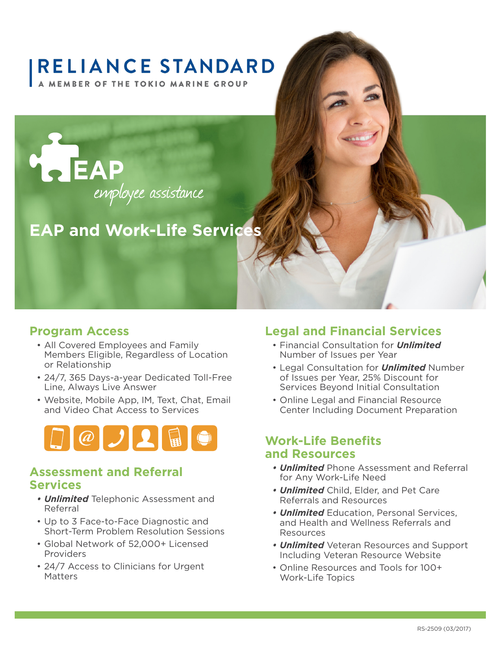# **RELIANCE STANDARD**

**A MEMBER OF THE TOKIO MARINE GROUP** 



# **EAP and Work-Life Services**

#### **Program Access**

- All Covered Employees and Family Members Eligible, Regardless of Location or Relationship
- 24/7, 365 Days-a-year Dedicated Toll-Free Line, Always Live Answer
- Website, Mobile App, IM, Text, Chat, Email and Video Chat Access to Services



#### **Assessment and Referral Services**

- *• Unlimited* Telephonic Assessment and Referral
- Up to 3 Face-to-Face Diagnostic and Short-Term Problem Resolution Sessions
- Global Network of 52,000+ Licensed Providers
- 24/7 Access to Clinicians for Urgent **Matters**

#### **Legal and Financial Services**

- Financial Consultation for *Unlimited* Number of Issues per Year
- Legal Consultation for *Unlimited* Number of Issues per Year, 25% Discount for Services Beyond Initial Consultation
- Online Legal and Financial Resource Center Including Document Preparation

#### **Work-Life Benefits and Resources**

- *• Unlimited* Phone Assessment and Referral for Any Work-Life Need
- *• Unlimited* Child, Elder, and Pet Care Referrals and Resources
- *• Unlimited* Education, Personal Services, and Health and Wellness Referrals and Resources
- *• Unlimited* Veteran Resources and Support Including Veteran Resource Website
- Online Resources and Tools for 100+ Work-Life Topics